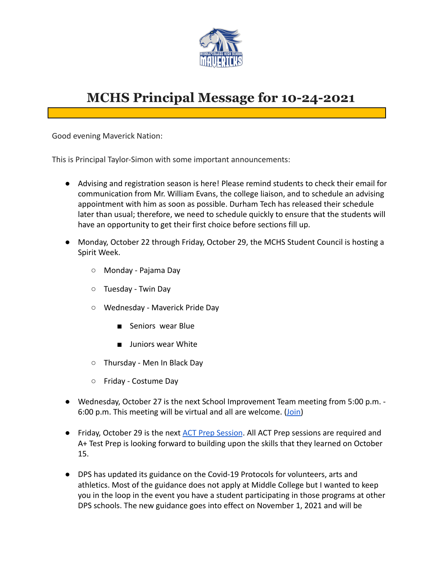

# **MCHS Principal Message for 10-24-2021**

Good evening Maverick Nation:

This is Principal Taylor-Simon with some important announcements:

- Advising and registration season is here! Please remind students to check their email for communication from Mr. William Evans, the college liaison, and to schedule an advising appointment with him as soon as possible. Durham Tech has released their schedule later than usual; therefore, we need to schedule quickly to ensure that the students will have an opportunity to get their first choice before sections fill up.
- Monday, October 22 through Friday, October 29, the MCHS Student Council is hosting a Spirit Week.
	- Monday Pajama Day
	- Tuesday Twin Day
	- Wednesday Maverick Pride Day
		- Seniors wear Blue
		- Juniors wear White
	- Thursday Men In Black Day
	- Friday Costume Day
- Wednesday, October 27 is the next School Improvement Team meeting from 5:00 p.m. 6:00 p.m. This meeting will be virtual and all are welcome. [\(Join\)](https://dpsnc.zoom.us/j/96396754455)
- Friday, October 29 is the next [ACT Prep Session](https://docs.google.com/document/d/1ojQzJkokVwLOMmmbK70R3r08byUcantP9z8D8pij168/edit?usp=sharing). All ACT Prep sessions are required and A+ Test Prep is looking forward to building upon the skills that they learned on October 15.
- DPS has updated its guidance on the Covid-19 Protocols for volunteers, arts and athletics. Most of the guidance does not apply at Middle College but I wanted to keep you in the loop in the event you have a student participating in those programs at other DPS schools. The new guidance goes into effect on November 1, 2021 and will be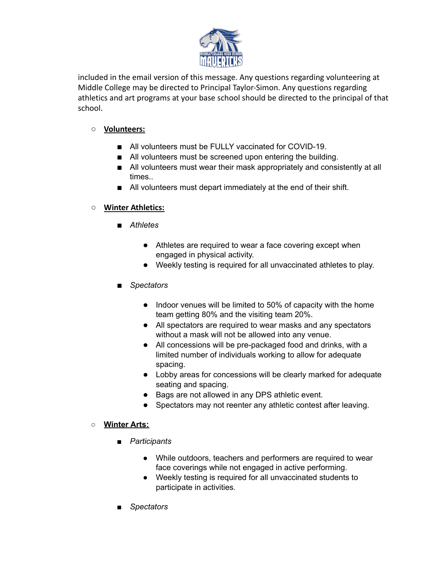

included in the email version of this message. Any questions regarding volunteering at Middle College may be directed to Principal Taylor-Simon. Any questions regarding athletics and art programs at your base school should be directed to the principal of that school.

### **○ Volunteers:**

- All volunteers must be FULLY vaccinated for COVID-19.
- All volunteers must be screened upon entering the building.
- All volunteers must wear their mask appropriately and consistently at all times..
- All volunteers must depart immediately at the end of their shift.

## **○ Winter Athletics:**

- *Athletes*
	- Athletes are required to wear a face covering except when engaged in physical activity.
	- Weekly testing is required for all unvaccinated athletes to play.
- *Spectators* 
	- Indoor venues will be limited to 50% of capacity with the home team getting 80% and the visiting team 20%.
	- All spectators are required to wear masks and any spectators without a mask will not be allowed into any venue.
	- All concessions will be pre-packaged food and drinks, with a limited number of individuals working to allow for adequate spacing.
	- Lobby areas for concessions will be clearly marked for adequate seating and spacing.
	- Bags are not allowed in any DPS athletic event.
	- Spectators may not reenter any athletic contest after leaving.

#### **○ Winter Arts:**

- **■** *Participants*
	- **●** While outdoors, teachers and performers are required to wear face coverings while not engaged in active performing.
	- **●** Weekly testing is required for all unvaccinated students to participate in activities.
- **■** *Spectators*